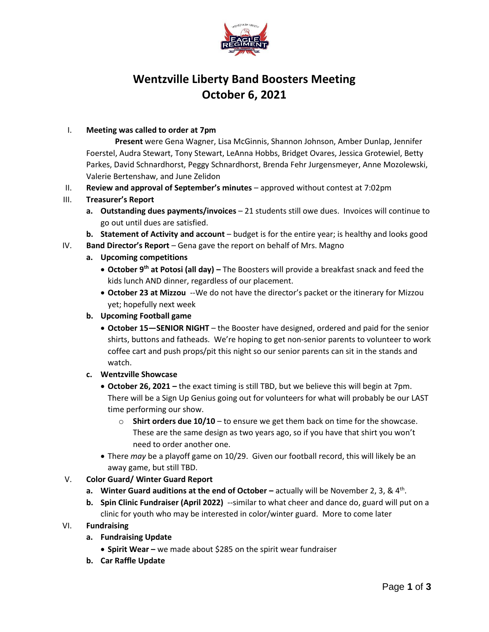

# **Wentzville Liberty Band Boosters Meeting October 6, 2021**

#### I. **Meeting was called to order at 7pm**

**Present** were Gena Wagner, Lisa McGinnis, Shannon Johnson, Amber Dunlap, Jennifer Foerstel, Audra Stewart, Tony Stewart, LeAnna Hobbs, Bridget Ovares, Jessica Grotewiel, Betty Parkes, David Schnardhorst, Peggy Schnardhorst, Brenda Fehr Jurgensmeyer, Anne Mozolewski, Valerie Bertenshaw, and June Zelidon

- II. **Review and approval of September's minutes** approved without contest at 7:02pm
- III. **Treasurer's Report**
	- **a. Outstanding dues payments/invoices** 21 students still owe dues. Invoices will continue to go out until dues are satisfied.
	- **b. Statement of Activity and account** budget is for the entire year; is healthy and looks good
- IV. **Band Director's Report** Gena gave the report on behalf of Mrs. Magno
	- **a. Upcoming competitions**
		- **October 9th at Potosi (all day) –** The Boosters will provide a breakfast snack and feed the kids lunch AND dinner, regardless of our placement.
		- **October 23 at Mizzou** --We do not have the director's packet or the itinerary for Mizzou yet; hopefully next week
	- **b. Upcoming Football game**
		- **October 15—SENIOR NIGHT** the Booster have designed, ordered and paid for the senior shirts, buttons and fatheads. We're hoping to get non-senior parents to volunteer to work coffee cart and push props/pit this night so our senior parents can sit in the stands and watch.
	- **c. Wentzville Showcase**
		- **October 26, 2021 –** the exact timing is still TBD, but we believe this will begin at 7pm. There will be a Sign Up Genius going out for volunteers for what will probably be our LAST time performing our show.
			- $\circ$  **Shirt orders due 10/10** to ensure we get them back on time for the showcase. These are the same design as two years ago, so if you have that shirt you won't need to order another one.
		- There *may* be a playoff game on 10/29. Given our football record, this will likely be an away game, but still TBD.
- V. **Color Guard/ Winter Guard Report**
	- **a.** Winter Guard auditions at the end of October actually will be November 2, 3, & 4<sup>th</sup>.
	- **b. Spin Clinic Fundraiser (April 2022)** --similar to what cheer and dance do, guard will put on a clinic for youth who may be interested in color/winter guard. More to come later
- VI. **Fundraising**
	- **a. Fundraising Update**
		- **Spirit Wear –** we made about \$285 on the spirit wear fundraiser
	- **b. Car Raffle Update**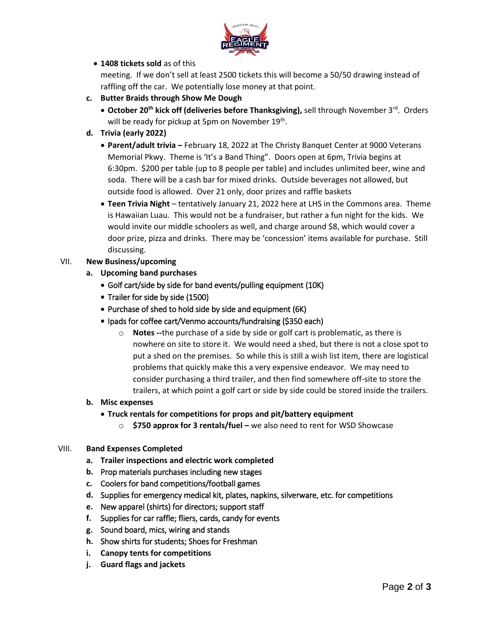

## **1408 tickets sold** as of this

meeting. If we don't sell at least 2500 tickets this will become a 50/50 drawing instead of raffling off the car. We potentially lose money at that point.

- **c. Butter Braids through Show Me Dough**
	- **October 20<sup>th</sup> kick off (deliveries before Thanksgiving), sell through November 3<sup>rd</sup>. Orders** will be ready for pickup at 5pm on November 19th.
- **d. Trivia (early 2022)**
	- **Parent/adult trivia –** February 18, 2022 at The Christy Banquet Center at 9000 Veterans Memorial Pkwy. Theme is 'It's a Band Thing". Doors open at 6pm, Trivia begins at 6:30pm. \$200 per table (up to 8 people per table) and includes unlimited beer, wine and soda. There will be a cash bar for mixed drinks. Outside beverages not allowed, but outside food is allowed. Over 21 only, door prizes and raffle baskets
	- **Teen Trivia Night** tentatively January 21, 2022 here at LHS in the Commons area. Theme is Hawaiian Luau. This would not be a fundraiser, but rather a fun night for the kids. We would invite our middle schoolers as well, and charge around \$8, which would cover a door prize, pizza and drinks. There may be 'concession' items available for purchase. Still discussing.

## VII. **New Business/upcoming**

- **a. Upcoming band purchases**
	- Golf cart/side by side for band events/pulling equipment (10K)
	- Trailer for side by side (1500)
	- Purchase of shed to hold side by side and equipment (6K)
	- Ipads for coffee cart/Venmo accounts/fundraising (\$350 each)
		- o **Notes --**the purchase of a side by side or golf cart is problematic, as there is nowhere on site to store it. We would need a shed, but there is not a close spot to put a shed on the premises. So while this is still a wish list item, there are logistical problems that quickly make this a very expensive endeavor. We may need to consider purchasing a third trailer, and then find somewhere off-site to store the trailers, at which point a golf cart or side by side could be stored inside the trailers.

#### **b. Misc expenses**

- **Truck rentals for competitions for props and pit/battery equipment**
	- o **\$750 approx for 3 rentals/fuel –** we also need to rent for WSD Showcase

#### VIII. **Band Expenses Completed**

- **a. Trailer inspections and electric work completed**
- **b.** Prop materials purchases including new stages
- **c.** Coolers for band competitions/football games
- **d.** Supplies for emergency medical kit, plates, napkins, silverware, etc. for competitions
- **e.** New apparel (shirts) for directors; support staff
- **f.** Supplies for car raffle; fliers, cards, candy for events
- **g.** Sound board, mics, wiring and stands
- **h.** Show shirts for students; Shoes for Freshman
- **i. Canopy tents for competitions**
- **j. Guard flags and jackets**